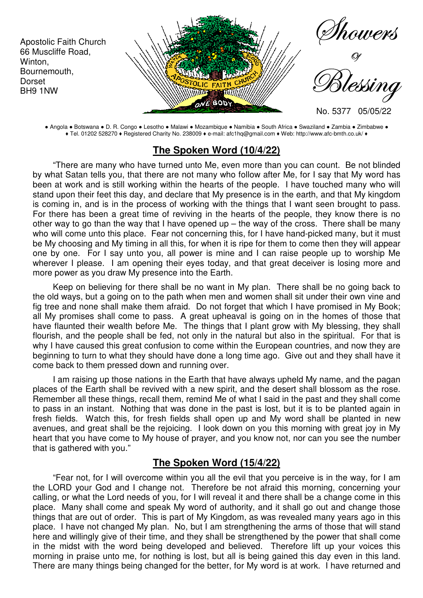

● Angola ● Botswana ● D. R. Congo ● Lesotho ● Malawi ● Mozambique ● Namibia ● South Africa ● Swaziland ● Zambia ● Zimbabwe ● ♦ Tel. 01202 528270 ♦ Registered Charity No. 238009 ♦ e-mail: afc1hq@gmail.com ♦ Web: http://www.afc-bmth.co.uk/ ♦

### **The Spoken Word (10/4/22)**

"There are many who have turned unto Me, even more than you can count. Be not blinded by what Satan tells you, that there are not many who follow after Me, for I say that My word has been at work and is still working within the hearts of the people. I have touched many who will stand upon their feet this day, and declare that My presence is in the earth, and that My kingdom is coming in, and is in the process of working with the things that I want seen brought to pass. For there has been a great time of reviving in the hearts of the people, they know there is no other way to go than the way that I have opened up  $-$  the way of the cross. There shall be many who will come unto this place. Fear not concerning this, for I have hand-picked many, but it must be My choosing and My timing in all this, for when it is ripe for them to come then they will appear one by one. For I say unto you, all power is mine and I can raise people up to worship Me wherever I please. I am opening their eyes today, and that great deceiver is losing more and more power as you draw My presence into the Earth.

Keep on believing for there shall be no want in My plan. There shall be no going back to the old ways, but a going on to the path when men and women shall sit under their own vine and fig tree and none shall make them afraid. Do not forget that which I have promised in My Book; all My promises shall come to pass. A great upheaval is going on in the homes of those that have flaunted their wealth before Me. The things that I plant grow with My blessing, they shall flourish, and the people shall be fed, not only in the natural but also in the spiritual. For that is why I have caused this great confusion to come within the European countries, and now they are beginning to turn to what they should have done a long time ago. Give out and they shall have it come back to them pressed down and running over.

I am raising up those nations in the Earth that have always upheld My name, and the pagan places of the Earth shall be revived with a new spirit, and the desert shall blossom as the rose. Remember all these things, recall them, remind Me of what I said in the past and they shall come to pass in an instant. Nothing that was done in the past is lost, but it is to be planted again in fresh fields. Watch this, for fresh fields shall open up and My word shall be planted in new avenues, and great shall be the rejoicing. I look down on you this morning with great joy in My heart that you have come to My house of prayer, and you know not, nor can you see the number that is gathered with you."

## **The Spoken Word (15/4/22)**

"Fear not, for I will overcome within you all the evil that you perceive is in the way, for I am the LORD your God and I change not. Therefore be not afraid this morning, concerning your calling, or what the Lord needs of you, for I will reveal it and there shall be a change come in this place. Many shall come and speak My word of authority, and it shall go out and change those things that are out of order. This is part of My Kingdom, as was revealed many years ago in this place. I have not changed My plan. No, but I am strengthening the arms of those that will stand here and willingly give of their time, and they shall be strengthened by the power that shall come in the midst with the word being developed and believed. Therefore lift up your voices this morning in praise unto me, for nothing is lost, but all is being gained this day even in this land. There are many things being changed for the better, for My word is at work. I have returned and